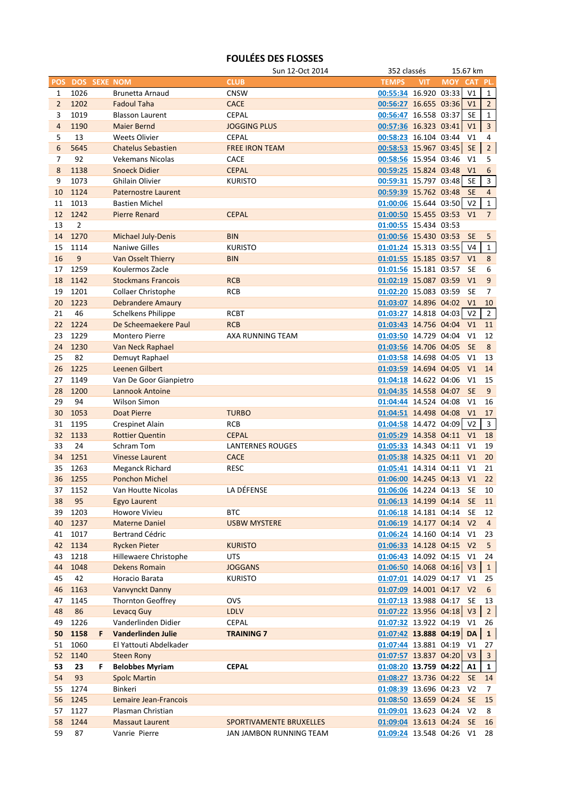## **FOULÉES DES FLOSSES**

|                |                     |    |                            | Sun 12-Oct 2014         | 352 classés                |            |            | 15.67 km       |                |
|----------------|---------------------|----|----------------------------|-------------------------|----------------------------|------------|------------|----------------|----------------|
| <b>POS</b>     | <b>DOS SEXE NOM</b> |    |                            | <b>CLUB</b>             | <b>TEMPS</b>               | <b>VIT</b> | <b>MOY</b> | <b>CAT</b>     | PL.            |
| 1              | 1026                |    | <b>Brunetta Arnaud</b>     | <b>CNSW</b>             | 00:55:34 16.920 03:33      |            |            | V1             | $\mathbf{1}$   |
| $\overline{2}$ | 1202                |    | <b>Fadoul Taha</b>         | <b>CACE</b>             | 00:56:27 16.655 03:36      |            |            | V <sub>1</sub> | $\overline{2}$ |
| 3              | 1019                |    | <b>Blasson Laurent</b>     | <b>CEPAL</b>            | 00:56:47 16.558 03:37      |            |            | SE             | $\mathbf{1}$   |
| $\overline{4}$ | 1190                |    | <b>Maier Bernd</b>         | <b>JOGGING PLUS</b>     | 00:57:36 16.323 03:41      |            |            | V1             | $\overline{3}$ |
| 5              | 13                  |    | <b>Weets Olivier</b>       | <b>CEPAL</b>            | 00:58:23 16.104 03:44      |            |            | V <sub>1</sub> | 4              |
|                |                     |    |                            |                         |                            |            |            |                |                |
| 6              | 5645                |    | <b>Chatelus Sebastien</b>  | <b>FREE IRON TEAM</b>   | 00:58:53 15.967 03:45      |            |            | <b>SE</b>      | $2^{\circ}$    |
| 7              | 92                  |    | <b>Vekemans Nicolas</b>    | <b>CACE</b>             | 00:58:56 15.954 03:46      |            |            | V <sub>1</sub> | 5              |
| 8              | 1138                |    | <b>Snoeck Didier</b>       | <b>CEPAL</b>            | 00:59:25 15.824 03:48      |            |            | V1             | 6              |
| 9              | 1073                |    | Ghilain Olivier            | <b>KURISTO</b>          | 00:59:31 15.797 03:48      |            |            | <b>SE</b>      | $\overline{3}$ |
| 10             | 1124                |    | <b>Paternostre Laurent</b> |                         | 00:59:39 15.762 03:48      |            |            | <b>SE</b>      | $\overline{4}$ |
| 11             | 1013                |    | <b>Bastien Michel</b>      |                         | 01:00:06 15.644 03:50      |            |            | V <sub>2</sub> | $\mathbf 1$    |
| 12             | 1242                |    | <b>Pierre Renard</b>       | <b>CEPAL</b>            | 01:00:50 15.455 03:53 V1   |            |            |                | $\overline{7}$ |
| 13             | 2                   |    |                            |                         | 01:00:55 15.434 03:53      |            |            |                |                |
| 14             | 1270                |    | Michael July-Denis         | <b>BIN</b>              | 01:00:56 15.430 03:53 SE   |            |            |                | 5              |
| 15             | 1114                |    | <b>Naniwe Gilles</b>       | <b>KURISTO</b>          | 01:01:24 15.313 03:55      |            |            | V <sub>4</sub> | $\mathbf{1}$   |
| 16             | 9                   |    | Van Osselt Thierry         | <b>BIN</b>              | 01:01:55 15.185 03:57      |            |            | V1             | 8              |
| 17             | 1259                |    | Koulermos Zacle            |                         | 01:01:56 15.181 03:57      |            |            | <b>SE</b>      | 6              |
| 18             | 1142                |    | <b>Stockmans Francois</b>  | <b>RCB</b>              | 01:02:19 15.087 03:59      |            |            | V <sub>1</sub> | 9              |
|                |                     |    |                            |                         |                            |            |            |                |                |
| 19             | 1201                |    | <b>Collaer Christophe</b>  | <b>RCB</b>              | 01:02:20 15.083 03:59      |            |            | <b>SE</b>      | 7              |
| 20             | 1223                |    | <b>Debrandere Amaury</b>   |                         | 01:03:07 14.896 04:02 V1   |            |            |                | 10             |
| 21             | 46                  |    | Schelkens Philippe         | <b>RCBT</b>             | 01:03:27 14.818 04:03      |            |            | V <sub>2</sub> | $\overline{2}$ |
| 22             | 1224                |    | De Scheemaekere Paul       | <b>RCB</b>              | 01:03:43 14.756 04:04      |            |            | V <sub>1</sub> | 11             |
| 23             | 1229                |    | <b>Montero Pierre</b>      | AXA RUNNING TEAM        | 01:03:50 14.729 04:04      |            |            | V <sub>1</sub> | 12             |
| 24             | 1230                |    | Van Neck Raphael           |                         | 01:03:56 14.706 04:05      |            |            | <b>SE</b>      | 8              |
| 25             | 82                  |    | Demuyt Raphael             |                         | 01:03:58 14.698 04:05      |            |            | V <sub>1</sub> | 13             |
| 26             | 1225                |    | Leenen Gilbert             |                         | 01:03:59 14.694 04:05      |            |            | V1             | 14             |
| 27             | 1149                |    | Van De Goor Gianpietro     |                         | 01:04:18 14.622 04:06      |            |            | V <sub>1</sub> | 15             |
| 28             | 1200                |    | Lannook Antoine            |                         | 01:04:35 14.558 04:07      |            |            | <b>SE</b>      | 9              |
| 29             | 94                  |    | <b>Wilson Simon</b>        |                         | 01:04:44 14.524 04:08 V1   |            |            |                | 16             |
| 30             | 1053                |    | <b>Doat Pierre</b>         | <b>TURBO</b>            | 01:04:51 14.498 04:08 V1   |            |            |                | 17             |
| 31             | 1195                |    | <b>Crespinet Alain</b>     | <b>RCB</b>              | 01:04:58 14.472 04:09 V2   |            |            |                | $\overline{3}$ |
|                |                     |    |                            |                         |                            |            |            |                |                |
| 32             | 1133                |    | <b>Rottier Quentin</b>     | <b>CEPAL</b>            | 01:05:29 14.358 04:11      |            |            | V <sub>1</sub> | 18             |
| 33             | 24                  |    | Schram Tom                 | <b>LANTERNES ROUGES</b> | 01:05:33 14.343 04:11      |            |            | V <sub>1</sub> | 19             |
| 34             | 1251                |    | <b>Vinesse Laurent</b>     | <b>CACE</b>             | 01:05:38 14.325 04:11      |            |            | V1             | 20             |
| 35             | 1263                |    | <b>Meganck Richard</b>     | <b>RESC</b>             | 01:05:41 14.314 04:11      |            |            | V <sub>1</sub> | 21             |
| 36             | 1255                |    | <b>Ponchon Michel</b>      |                         | 01:06:00 14.245 04:13 V1   |            |            |                | 22             |
| 37             | 1152                |    | Van Houtte Nicolas         | LA DÉFENSE              | 01:06:06 14.224 04:13 SE   |            |            |                | 10             |
| 38             | 95                  |    | Egyo Laurent               |                         | 01:06:13 14.199 04:14 SE   |            |            |                | 11             |
| 39             | 1203                |    | Howore Vivieu              | <b>BTC</b>              | 01:06:18 14.181 04:14      |            |            | <b>SE</b>      | 12             |
| 40             | 1237                |    | <b>Materne Daniel</b>      | <b>USBW MYSTERE</b>     | 01:06:19 14.177 04:14 V2   |            |            |                | $\overline{4}$ |
| 41             | 1017                |    | <b>Bertrand Cédric</b>     |                         | 01:06:24 14.160 04:14 V1   |            |            |                | 23             |
| 42             | 1134                |    | <b>Rycken Pieter</b>       | <b>KURISTO</b>          | 01:06:33 14.128 04:15 V2   |            |            |                | 5              |
| 43             | 1218                |    | Hillewaere Christophe      | <b>UTS</b>              | 01:06:43 14.092 04:15 V1   |            |            |                | 24             |
| 44             | 1048                |    | Dekens Romain              | <b>JOGGANS</b>          | $01:06:50$ 14.068 04:16 V3 |            |            |                | $\mathbf{1}$   |
| 45             | 42                  |    | Horacio Barata             | <b>KURISTO</b>          | 01:07:01 14.029 04:17 V1   |            |            |                | 25             |
|                |                     |    |                            |                         |                            |            |            |                | 6              |
| 46             | 1163                |    | Vanvynckt Danny            |                         | 01:07:09 14.001 04:17 V2   |            |            |                |                |
| 47             | 1145                |    | <b>Thornton Geoffrey</b>   | OVS                     | 01:07:13 13.988 04:17      |            |            | SE             | 13             |
| 48             | 86                  |    | Levacq Guy                 | <b>LDLV</b>             | 01:07:22 13.956 04:18 V3   |            |            |                | 2 <sup>1</sup> |
| 49             | 1226                |    | Vanderlinden Didier        | <b>CEPAL</b>            | 01:07:32 13.922 04:19      |            |            | V1             | 26             |
| 50             | 1158                | F  | Vanderlinden Julie         | <b>TRAINING 7</b>       | $01:07:42$ 13.888 04:19    |            |            | <b>DA</b>      | $\mathbf{1}$   |
| 51             | 1060                |    | El Yattouti Abdelkader     |                         | 01:07:44 13.881 04:19      |            |            | V1             | 27             |
| 52             | 1140                |    | <b>Steen Rony</b>          |                         | 01:07:57 13.837 04:20 V3   |            |            |                | $\overline{3}$ |
| 53             | 23                  | F. | <b>Belobbes Myriam</b>     | <b>CEPAL</b>            | 01:08:20 13.759 04:22      |            |            | A1             | $\mathbf{1}$   |
| 54             | 93                  |    | <b>Spolc Martin</b>        |                         | 01:08:27 13.736 04:22      |            |            | <b>SE</b>      | 14             |
| 55             | 1274                |    | Binkeri                    |                         | 01:08:39 13.696 04:23      |            |            | V <sub>2</sub> | 7              |
| 56             | 1245                |    | Lemaire Jean-Francois      |                         | 01:08:50 13.659 04:24      |            |            | <b>SE</b>      | 15             |
| 57             | 1127                |    | Plasman Christian          |                         | 01:09:01 13.623 04:24      |            |            | V <sub>2</sub> | 8              |
| 58             | 1244                |    | <b>Massaut Laurent</b>     | SPORTIVAMENTE BRUXELLES | 01:09:04 13.613 04:24      |            |            | <b>SE</b>      | 16             |
| 59             | 87                  |    | Vanrie Pierre              | JAN JAMBON RUNNING TEAM | 01:09:24 13.548 04:26 V1   |            |            |                | 28             |
|                |                     |    |                            |                         |                            |            |            |                |                |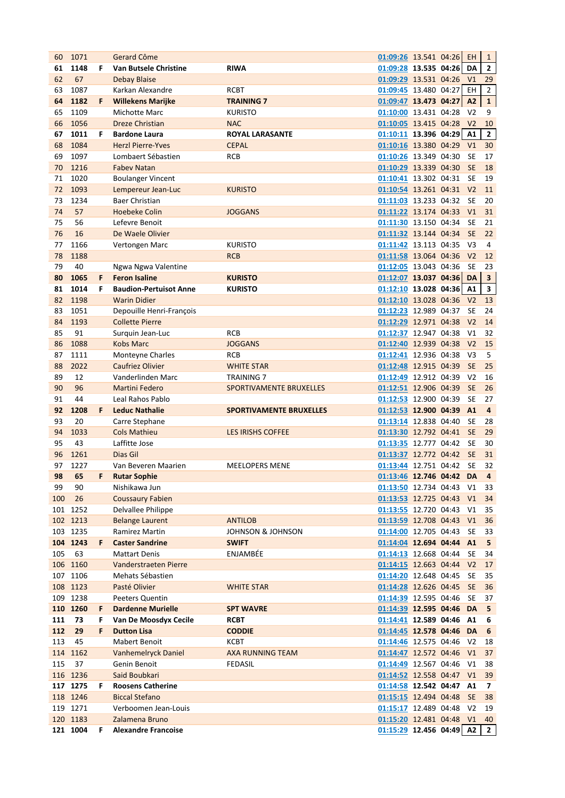| 60  | 1071     |    | Gerard Côme                   |                                | 01:09:26 13.541 04:26    |  | EH.            | $\mathbf{1}$            |
|-----|----------|----|-------------------------------|--------------------------------|--------------------------|--|----------------|-------------------------|
| 61  | 1148     | F  | Van Butsele Christine         | <b>RIWA</b>                    | 01:09:28 13.535 04:26    |  | DA             | $\mathbf{2}$            |
| 62  | 67       |    | <b>Debay Blaise</b>           |                                | 01:09:29 13.531 04:26    |  | V <sub>1</sub> | 29                      |
| 63  | 1087     |    | Karkan Alexandre              | <b>RCBT</b>                    | 01:09:45 13.480 04:27    |  | EH             | $\overline{2}$          |
| 64  | 1182     | F  | <b>Willekens Marijke</b>      | <b>TRAINING 7</b>              | 01:09:47 13.473 04:27    |  | A2             | ${\bf 1}$               |
| 65  | 1109     |    | Michotte Marc                 | <b>KURISTO</b>                 | 01:10:00 13.431 04:28    |  | V <sub>2</sub> | 9                       |
| 66  | 1056     |    | <b>Dreze Christian</b>        | <b>NAC</b>                     | 01:10:05 13.415 04:28 V2 |  |                | 10                      |
| 67  | 1011     | F  | <b>Bardone Laura</b>          | <b>ROYAL LARASANTE</b>         | $01:10:11$ 13.396 04:29  |  | A1             | $\mathbf{2}$            |
| 68  | 1084     |    | <b>Herzl Pierre-Yves</b>      | <b>CEPAL</b>                   | 01:10:16 13.380 04:29    |  | V <sub>1</sub> | 30                      |
| 69  | 1097     |    | Lombaert Sébastien            | <b>RCB</b>                     | 01:10:26 13.349 04:30    |  | <b>SE</b>      | 17                      |
| 70  | 1216     |    | <b>Fabev Natan</b>            |                                | 01:10:29 13.339 04:30    |  | <b>SE</b>      | 18                      |
| 71  | 1020     |    | <b>Boulanger Vincent</b>      |                                | 01:10:41 13.302 04:31    |  | <b>SE</b>      | 19                      |
| 72  | 1093     |    | Lempereur Jean-Luc            | <b>KURISTO</b>                 | 01:10:54 13.261 04:31    |  | V <sub>2</sub> | 11                      |
| 73  | 1234     |    | <b>Baer Christian</b>         |                                | 01:11:03 13.233 04:32    |  | <b>SE</b>      | 20                      |
| 74  | 57       |    | <b>Hoebeke Colin</b>          | <b>JOGGANS</b>                 | 01:11:22 13.174 04:33    |  | V1             | 31                      |
| 75  | 56       |    | Lefevre Benoit                |                                | 01:11:30 13.150 04:34    |  | <b>SE</b>      | 21                      |
| 76  | 16       |    | De Waele Olivier              |                                | 01:11:32 13.144 04:34    |  | <b>SE</b>      | 22                      |
| 77  | 1166     |    | Vertongen Marc                | <b>KURISTO</b>                 | 01:11:42 13.113 04:35    |  | V3             | 4                       |
| 78  | 1188     |    |                               | <b>RCB</b>                     | 01:11:58 13.064 04:36    |  | V <sub>2</sub> | 12                      |
| 79  | 40       |    | Ngwa Ngwa Valentine           |                                | 01:12:05 13.043 04:36    |  | <b>SE</b>      | 23                      |
| 80  | 1065     | F  | <b>Feron Isaline</b>          | <b>KURISTO</b>                 | $01:12:07$ 13.037 04:36  |  | <b>DA</b>      | $\overline{\mathbf{3}}$ |
| 81  | 1014     | F  | <b>Baudion-Pertuisot Anne</b> | <b>KURISTO</b>                 | $01:12:10$ 13.028 04:36  |  | A1             | 3                       |
| 82  | 1198     |    | <b>Warin Didier</b>           |                                | 01:12:10 13.028 04:36    |  | V <sub>2</sub> | 13                      |
| 83  | 1051     |    | Depouille Henri-François      |                                | 01:12:23 12.989 04:37    |  | <b>SE</b>      | 24                      |
| 84  | 1193     |    | <b>Collette Pierre</b>        |                                | 01:12:29 12.971 04:38    |  | V <sub>2</sub> | 14                      |
| 85  | 91       |    | Surquin Jean-Luc              | <b>RCB</b>                     | 01:12:37 12.947 04:38    |  | V1             | 32                      |
| 86  | 1088     |    | <b>Kobs Marc</b>              | <b>JOGGANS</b>                 | 01:12:40 12.939 04:38    |  | V <sub>2</sub> | 15                      |
| 87  | 1111     |    | Monteyne Charles              | RCB                            | 01:12:41 12.936 04:38    |  | V3             | 5                       |
| 88  | 2022     |    | <b>Caufriez Olivier</b>       | <b>WHITE STAR</b>              | 01:12:48 12.915 04:39    |  | <b>SE</b>      | 25                      |
| 89  | 12       |    | Vanderlinden Marc             | <b>TRAINING 7</b>              | 01:12:49 12.912 04:39    |  | V <sub>2</sub> | 16                      |
| 90  | 96       |    | <b>Martini Federo</b>         | SPORTIVAMENTE BRUXELLES        | 01:12:51 12.906 04:39    |  | <b>SE</b>      | 26                      |
| 91  | 44       |    | Leal Rahos Pablo              |                                | 01:12:53 12.900 04:39    |  | <b>SE</b>      | 27                      |
| 92  | 1208     | F  | <b>Leduc Nathalie</b>         | <b>SPORTIVAMENTE BRUXELLES</b> | 01:12:53 12.900 04:39    |  | A1             | 4                       |
| 93  | 20       |    | Carre Stephane                |                                | 01:13:14 12.838 04:40    |  | <b>SE</b>      | 28                      |
| 94  | 1033     |    | <b>Cols Mathieu</b>           | <b>LES IRISHS COFFEE</b>       | 01:13:30 12.792 04:41    |  | <b>SE</b>      | 29                      |
| 95  | 43       |    | Laffitte Jose                 |                                | 01:13:35 12.777 04:42    |  | <b>SE</b>      | 30                      |
| 96  | 1261     |    | Dias Gil                      |                                | 01:13:37 12.772 04:42    |  | <b>SE</b>      | 31                      |
| 97  | 1227     |    | Van Beveren Maarien           | <b>MEELOPERS MENE</b>          | 01:13:44 12.751 04:42    |  | <b>SE</b>      | 32                      |
| 98  | 65       | F. | <b>Rutar Sophie</b>           |                                | 01:13:46 12.746 04:42 DA |  |                | $\overline{4}$          |
| 99  | 90       |    | Nishikawa Jun                 |                                | 01:13:50 12.734 04:43 V1 |  |                | 33                      |
| 100 | 26       |    | <b>Coussaury Fabien</b>       |                                | 01:13:53 12.725 04:43 V1 |  |                | 34                      |
|     | 101 1252 |    | Delvallee Philippe            |                                | 01:13:55 12.720 04:43 V1 |  |                | 35                      |
|     | 102 1213 |    | <b>Belange Laurent</b>        | <b>ANTILOB</b>                 | 01:13:59 12.708 04:43 V1 |  |                | 36                      |
|     | 103 1235 |    | Ramirez Martin                | JOHNSON & JOHNSON              | 01:14:00 12.705 04:43    |  | SE             | 33                      |
|     | 104 1243 | F  | <b>Caster Sandrine</b>        | <b>SWIFT</b>                   | 01:14:04 12.694 04:44 A1 |  |                | 5                       |
| 105 | 63       |    | <b>Mattart Denis</b>          | ENJAMBÉE                       | 01:14:13 12.668 04:44    |  | <b>SE</b>      | 34                      |
|     | 106 1160 |    | Vanderstraeten Pierre         |                                | 01:14:15 12.663 04:44 V2 |  |                | 17                      |
|     | 107 1106 |    | Mehats Sébastien              |                                | 01:14:20 12.648 04:45    |  | <b>SE</b>      | 35                      |
|     | 108 1123 |    | Pasté Olivier                 | <b>WHITE STAR</b>              | 01:14:28 12.626 04:45    |  | <b>SE</b>      | 36                      |
|     | 109 1238 |    |                               |                                |                          |  |                |                         |
|     |          |    | Peeters Quentin               |                                | 01:14:39 12.595 04:46    |  | <b>SE</b>      | 37                      |
|     | 110 1260 | F  | <b>Dardenne Murielle</b>      | <b>SPT WAVRE</b>               | 01:14:39 12.595 04:46 DA |  |                | 5                       |
| 111 | 73       | F  | Van De Moosdyx Cecile         | <b>RCBT</b>                    | 01:14:41 12.589 04:46 A1 |  |                | 6                       |
| 112 | 29       | F  | <b>Dutton Lisa</b>            | <b>CODDIE</b>                  | 01:14:45 12.578 04:46 DA |  |                | 6                       |
| 113 | 45       |    | Mabert Benoit                 | КСВТ                           | 01:14:46 12.575 04:46 V2 |  |                | 18                      |
|     | 114 1162 |    | <b>Vanhemelryck Daniel</b>    | <b>AXA RUNNING TEAM</b>        | 01:14:47 12.572 04:46 V1 |  |                | 37                      |
| 115 | 37       |    | Genin Benoit                  | <b>FEDASIL</b>                 | 01:14:49 12.567 04:46    |  | V1             | 38                      |
|     | 116 1236 |    | Said Boubkari                 |                                | 01:14:52 12.558 04:47 V1 |  |                | 39                      |
|     | 117 1275 | F. | <b>Roosens Catherine</b>      |                                | 01:14:58 12.542 04:47 A1 |  |                | 7                       |
|     | 118 1246 |    | <b>Biccal Stefano</b>         |                                | 01:15:15 12.494 04:48    |  | <b>SE</b>      | 38                      |
|     | 119 1271 |    | Verboomen Jean-Louis          |                                | 01:15:17 12.489 04:48    |  | V <sub>2</sub> | 19                      |
|     | 120 1183 |    | Zalamena Bruno                |                                | 01:15:20 12.481 04:48 V1 |  |                | 40                      |
|     | 121 1004 | F  | <b>Alexandre Francoise</b>    |                                | 01:15:29 12.456 04:49 A2 |  |                | $\mathbf{2}$            |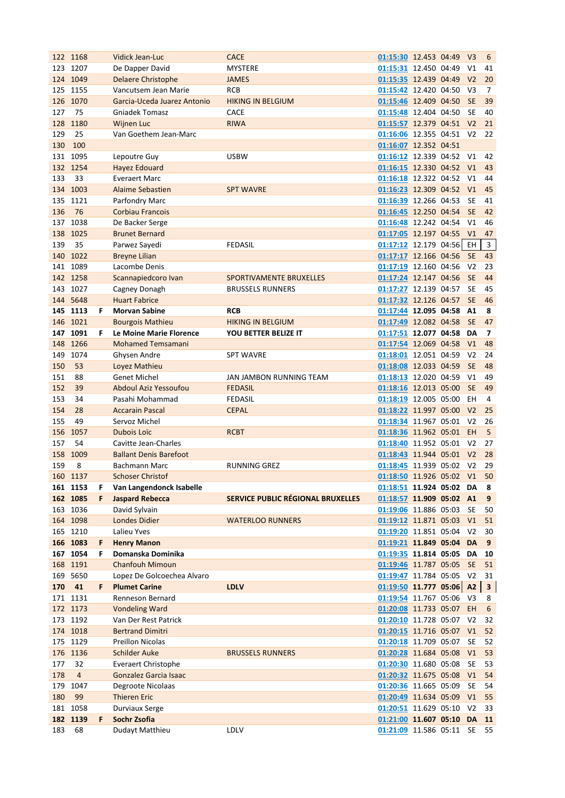|     | 122 1168             |         | <b>Vidick Jean-Luc</b>                      | <b>CACE</b>                       | 01:15:30 12.453 04:49 V3                          |  |                | 6                        |
|-----|----------------------|---------|---------------------------------------------|-----------------------------------|---------------------------------------------------|--|----------------|--------------------------|
|     | 123 1207             |         | De Dapper David                             | <b>MYSTERE</b>                    | 01:15:31 12.450 04:49                             |  | V1             | 41                       |
| 124 | 1049                 |         | <b>Delaere Christophe</b>                   | <b>JAMES</b>                      | 01:15:35 12.439 04:49                             |  | V <sub>2</sub> | 20                       |
|     | 125 1155             |         | Vancutsem Jean Marie                        | <b>RCB</b>                        | 01:15:42 12.420 04:50                             |  | V <sub>3</sub> | 7                        |
|     | 126 1070             |         | Garcia-Uceda Juarez Antonio                 | <b>HIKING IN BELGIUM</b>          | 01:15:46 12.409 04:50                             |  | <b>SE</b>      | 39                       |
| 127 | 75                   |         | <b>Gniadek Tomasz</b>                       | <b>CACE</b>                       | 01:15:48 12.404 04:50                             |  | <b>SE</b>      | 40                       |
| 128 | 1180                 |         | <b>Wijnen Luc</b>                           | <b>RIWA</b>                       | 01:15:57 12.379 04:51 V2                          |  |                | 21                       |
| 129 | 25                   |         | Van Goethem Jean-Marc                       |                                   | 01:16:06 12.355 04:51                             |  | V <sub>2</sub> | 22                       |
| 130 | 100                  |         |                                             |                                   | 01:16:07 12.352 04:51                             |  |                |                          |
|     | 131 1095             |         | Lepoutre Guy                                | <b>USBW</b>                       | 01:16:12 12.339 04:52                             |  | V1             | 42                       |
|     | 132 1254             |         | <b>Hayez Edouard</b>                        |                                   | 01:16:15 12.330 04:52                             |  | V1             | 43                       |
| 133 | 33                   |         | <b>Everaert Marc</b>                        |                                   | 01:16:18 12.322 04:52                             |  | V1             | 44                       |
|     | 134 1003             |         | <b>Alaime Sebastien</b>                     | <b>SPT WAVRE</b>                  | 01:16:23 12.309 04:52                             |  | V1             | 45                       |
|     | 135 1121             |         | Parfondry Marc                              |                                   | 01:16:39 12.266 04:53                             |  | <b>SE</b>      | 41                       |
| 136 | 76                   |         | <b>Corbiau Francois</b>                     |                                   | 01:16:45 12.250 04:54                             |  | <b>SE</b>      | 42                       |
|     | 137 1038             |         | De Backer Serge                             |                                   | 01:16:48 12.242 04:54 V1                          |  |                | 46                       |
|     | 138 1025             |         | <b>Brunet Bernard</b>                       |                                   | 01:17:05 12.197 04:55 V1                          |  |                | 47                       |
| 139 | 35                   |         | Parwez Sayedi                               | <b>FEDASIL</b>                    | 01:17:12 12.179 04:56 EH                          |  |                | $\overline{3}$           |
|     | 140 1022             |         | <b>Breyne Lilian</b>                        |                                   | 01:17:17 12.166 04:56                             |  | <b>SE</b>      | 43                       |
|     | 141 1089             |         | Lacombe Denis                               |                                   | 01:17:19 12.160 04:56                             |  | V <sub>2</sub> | 23                       |
|     | 142 1258             |         | Scannapiedcoro Ivan                         | SPORTIVAMENTE BRUXELLES           | 01:17:24 12.147 04:56                             |  | <b>SE</b>      | 44                       |
| 143 | 1027                 |         | Cagney Donagh                               | <b>BRUSSELS RUNNERS</b>           | 01:17:27 12.139 04:57                             |  | <b>SE</b>      | 45                       |
|     | 144 5648             |         | <b>Huart Fabrice</b>                        |                                   | 01:17:32 12.126 04:57                             |  | <b>SE</b>      | 46                       |
|     | 145 1113             | F.      | <b>Morvan Sabine</b>                        | <b>RCB</b>                        | 01:17:44 12.095 04:58                             |  | A1             | 8                        |
|     | 146 1021             |         | <b>Bourgois Mathieu</b>                     | <b>HIKING IN BELGIUM</b>          | 01:17:49 12.082 04:58                             |  | <b>SE</b>      | 47                       |
|     | 147 1091             | F       | Le Moine Marie Florence                     | YOU BETTER BELIZE IT              | 01:17:51 12.077 04:58                             |  | DA             | $\overline{\phantom{a}}$ |
|     | 148 1266             |         | <b>Mohamed Temsamani</b>                    |                                   | 01:17:54 12.069 04:58                             |  | V1             | 48                       |
| 149 | 1074                 |         | Ghysen Andre                                | <b>SPT WAVRE</b>                  | 01:18:01 12.051 04:59                             |  | V <sub>2</sub> | 24                       |
| 150 | 53                   |         | Loyez Mathieu                               |                                   | 01:18:08 12.033 04:59                             |  | <b>SE</b>      | 48                       |
| 151 | 88                   |         | <b>Genet Michel</b>                         | JAN JAMBON RUNNING TEAM           | 01:18:13 12.020 04:59                             |  | V1             | 49                       |
| 152 | 39                   |         | <b>Abdoul Aziz Yessoufou</b>                | <b>FEDASIL</b>                    | 01:18:16 12.013 05:00                             |  | <b>SE</b>      | 49                       |
| 153 | 34                   |         | Pasahi Mohammad                             | <b>FEDASIL</b>                    | 01:18:19 12.005 05:00                             |  | EH             | 4                        |
| 154 | 28                   |         | <b>Accarain Pascal</b>                      | <b>CEPAL</b>                      | 01:18:22 11.997 05:00 V2                          |  |                | 25                       |
| 155 | 49                   |         | Servoz Michel                               |                                   | 01:18:34 11.967 05:01                             |  | V <sub>2</sub> | 26                       |
| 156 | 1057                 |         | Dubois Loïc                                 | <b>RCBT</b>                       | 01:18:36 11.962 05:01                             |  | EH.            | 5                        |
| 157 | 54                   |         | Cavitte Jean-Charles                        |                                   | 01:18:40 11.952 05:01                             |  | V <sub>2</sub> | 27                       |
| 158 | 1009                 |         | <b>Ballant Denis Barefoot</b>               |                                   | 01:18:43 11.944 05:01 V2                          |  |                | 28                       |
| 159 | 8                    |         | <b>Bachmann Marc</b>                        | <b>RUNNING GREZ</b>               | 01:18:45 11.939 05:02                             |  | V <sub>2</sub> | 29                       |
|     | 160 1137             |         | Schoser Christof                            |                                   | 01:18:50 11.926 05:02 V1                          |  |                | 50                       |
|     |                      |         | Van Langendonck Isabelle                    |                                   | 01:18:51 11.924 05:02 DA                          |  |                |                          |
|     | 161 1153<br>162 1085 | F.<br>F | <b>Jaspard Rebecca</b>                      | SERVICE PUBLIC RÉGIONAL BRUXELLES | 01:18:57 11.909 05:02 A1                          |  |                | 8<br>9                   |
|     | 163 1036             |         | David Sylvain                               |                                   | 01:19:06 11.886 05:03                             |  | SE             |                          |
|     | 164 1098             |         |                                             |                                   |                                                   |  |                | 50                       |
|     |                      |         | <b>Londes Didier</b>                        | <b>WATERLOO RUNNERS</b>           | 01:19:12 11.871 05:03 V1                          |  |                | 51                       |
|     | 165 1210<br>166 1083 |         | Lalieu Yves                                 |                                   | 01:19:20 11.851 05:04                             |  | V <sub>2</sub> | 30                       |
|     |                      | F<br>F. | <b>Henry Manon</b>                          |                                   | 01:19:21 11.849 05:04 DA                          |  |                | 9                        |
|     | 167 1054             |         | Domanska Dominika<br><b>Chanfouh Mimoun</b> |                                   | 01:19:35 11.814 05:05 DA                          |  |                | 10                       |
|     | 168 1191<br>169 5650 |         | Lopez De Golcoechea Alvaro                  |                                   | 01:19:46 11.787 05:05<br>01:19:47 11.784 05:05 V2 |  | <b>SE</b>      | 51                       |
|     | 41                   | F.      | <b>Plumet Carine</b>                        |                                   |                                                   |  |                | 31                       |
| 170 |                      |         |                                             | <b>LDLV</b>                       | 01:19:50 11.777 05:06 A2                          |  |                | $\mathbf{3}$             |
|     | 171 1131             |         | Renneson Bernard                            |                                   | 01:19:54 11.767 05:06 V3                          |  |                | 8                        |
|     | 172 1173             |         | <b>Vondeling Ward</b>                       |                                   | 01:20:08 11.733 05:07 EH                          |  |                | 6                        |
|     | 173 1192             |         | Van Der Rest Patrick                        |                                   | 01:20:10 11.728 05:07 V2                          |  |                | 32                       |
|     | 174 1018             |         | <b>Bertrand Dimitri</b>                     |                                   | 01:20:15 11.716 05:07 V1                          |  |                | 52                       |
|     | 175 1129             |         | <b>Preillon Nicolas</b>                     |                                   | 01:20:18 11.709 05:07                             |  | SE             | 52                       |
|     | 176 1136             |         | <b>Schilder Auke</b>                        | <b>BRUSSELS RUNNERS</b>           | 01:20:28 11.684 05:08                             |  | V1             | 53                       |
| 177 | 32                   |         | <b>Everaert Christophe</b>                  |                                   | 01:20:30 11.680 05:08                             |  | <b>SE</b>      | 53                       |
| 178 | $\overline{4}$       |         | Gonzalez Garcia Isaac                       |                                   | 01:20:32 11.675 05:08                             |  | V1             | 54                       |
| 179 | 1047                 |         | Degroote Nicolaas                           |                                   | 01:20:36 11.665 05:09                             |  | SE             | 54                       |
| 180 | 99                   |         | <b>Thieren Eric</b>                         |                                   | 01:20:49 11.634 05:09                             |  | V1             | 55                       |
|     | 181 1058             |         | <b>Durviaux Serge</b>                       |                                   | 01:20:51 11.629 05:10                             |  | V <sub>2</sub> | 33                       |
|     | 182 1139             | F       | Sochr Zsofia                                |                                   | 01:21:00 11.607 05:10                             |  |                | DA 11                    |
| 183 | 68                   |         | Dudayt Matthieu                             | LDLV                              | 01:21:09 11.586 05:11                             |  | SE             | 55                       |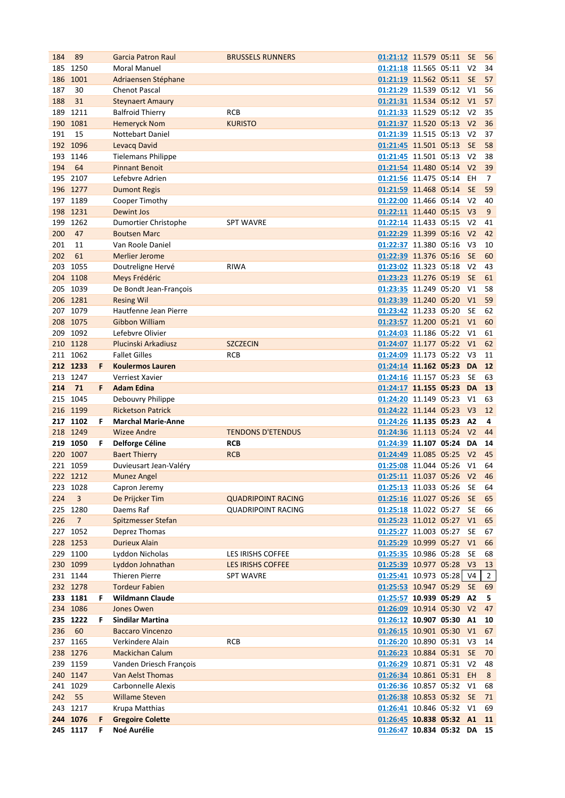| 184 | 89                   |         | <b>Garcia Patron Raul</b>              | <b>BRUSSELS RUNNERS</b>   | 01:21:12 11.579 05:11                                   |  | <b>SE</b>      | 56             |
|-----|----------------------|---------|----------------------------------------|---------------------------|---------------------------------------------------------|--|----------------|----------------|
| 185 | 1250                 |         | <b>Moral Manuel</b>                    |                           | 01:21:18 11.565 05:11                                   |  | V <sub>2</sub> | 34             |
| 186 | 1001                 |         | Adriaensen Stéphane                    |                           | 01:21:19 11.562 05:11                                   |  | <b>SE</b>      | 57             |
| 187 | 30                   |         | <b>Chenot Pascal</b>                   |                           | 01:21:29 11.539 05:12                                   |  | V1             | 56             |
| 188 | 31                   |         | <b>Steynaert Amaury</b>                |                           | 01:21:31 11.534 05:12 V1                                |  |                | 57             |
| 189 | 1211                 |         | <b>Balfroid Thierry</b>                | <b>RCB</b>                | 01:21:33 11.529 05:12 V2                                |  |                | 35             |
|     | 190 1081             |         | <b>Hemeryck Nom</b>                    | <b>KURISTO</b>            | 01:21:37 11.520 05:13 V2                                |  |                | 36             |
| 191 | 15                   |         | <b>Nottebart Daniel</b>                |                           | 01:21:39 11.515 05:13                                   |  | V <sub>2</sub> | 37             |
|     | 192 1096             |         | <b>Levacq David</b>                    |                           | 01:21:45 11.501 05:13                                   |  | <b>SE</b>      | 58             |
|     | 193 1146             |         | <b>Tielemans Philippe</b>              |                           | 01:21:45 11.501 05:13 V2                                |  |                | 38             |
| 194 | 64                   |         | <b>Pinnant Benoit</b>                  |                           | 01:21:54 11.480 05:14 V2                                |  |                | 39             |
|     | 195 2107             |         | Lefebvre Adrien                        |                           | 01:21:56 11.475 05:14 EH                                |  |                | 7              |
|     | 196 1277             |         | <b>Dumont Regis</b>                    |                           | 01:21:59 11.468 05:14 SE                                |  |                | 59             |
|     | 197 1189             |         | Cooper Timothy                         |                           | 01:22:00 11.466 05:14 V2                                |  |                | 40             |
|     | 198 1231             |         | <b>Dewint Jos</b>                      |                           | 01:22:11 11.440 05:15 V3                                |  |                | 9              |
| 199 | 1262                 |         | Dumortier Christophe                   | <b>SPT WAVRE</b>          | 01:22:14 11.433 05:15                                   |  | V <sub>2</sub> | 41             |
| 200 | 47                   |         | <b>Boutsen Marc</b>                    |                           | 01:22:29 11.399 05:16                                   |  | V <sub>2</sub> | 42             |
| 201 | 11                   |         | Van Roole Daniel                       |                           | 01:22:37 11.380 05:16                                   |  | V3             | 10             |
| 202 | 61                   |         | <b>Merlier Jerome</b>                  |                           | 01:22:39 11.376 05:16                                   |  | <b>SE</b>      | 60             |
| 203 | 1055                 |         |                                        | <b>RIWA</b>               | 01:23:02 11.323 05:18                                   |  | V <sub>2</sub> | 43             |
|     |                      |         | Doutreligne Hervé                      |                           | 01:23:23 11.276 05:19                                   |  |                |                |
|     | 204 1108             |         | Meys Frédéric                          |                           |                                                         |  | <b>SE</b>      | 61             |
|     | 205 1039             |         | De Bondt Jean-François                 |                           | 01:23:35 11.249 05:20                                   |  | V1             | 58             |
|     | 206 1281             |         | <b>Resing Wil</b>                      |                           | 01:23:39 11.240 05:20                                   |  | V1             | 59             |
|     | 207 1079             |         | Hautfenne Jean Pierre                  |                           | 01:23:42 11.233 05:20                                   |  | <b>SE</b>      | 62             |
|     | 208 1075             |         | Gibbon William                         |                           | 01:23:57 11.200 05:21 V1                                |  |                | 60             |
|     | 209 1092             |         | Lefebvre Olivier                       |                           | 01:24:03 11.186 05:22                                   |  | V1             | 61             |
|     | 210 1128             |         | Plucinski Arkadiusz                    | <b>SZCZECIN</b>           | 01:24:07 11.177 05:22                                   |  | V1             | 62             |
|     | 211 1062             |         | <b>Fallet Gilles</b>                   | <b>RCB</b>                | 01:24:09 11.173 05:22 V3                                |  |                | 11             |
|     | 212 1233             | F.      | <b>Koulermos Lauren</b>                |                           | 01:24:14 11.162 05:23 DA                                |  |                | 12             |
|     | 213 1247             |         | Verriest Xavier                        |                           | 01:24:16 11.157 05:23                                   |  | <b>SE</b>      | 63             |
| 214 | 71                   | F       | <b>Adam Edina</b>                      |                           | 01:24:17 11.155 05:23 DA 13                             |  |                |                |
|     |                      |         |                                        |                           |                                                         |  |                |                |
|     | 215 1045             |         | Debouvry Philippe                      |                           | 01:24:20 11.149 05:23                                   |  | V1             | 63             |
|     | 216 1199             |         | <b>Ricketson Patrick</b>               |                           | 01:24:22 11.144 05:23 V3                                |  |                | 12             |
|     | 217 1102             | F.      | <b>Marchal Marie-Anne</b>              |                           | 01:24:26 11.135 05:23                                   |  | <b>A2</b>      | 4              |
|     | 218 1249             |         | <b>Wizee Andre</b>                     | <b>TENDONS D'ETENDUS</b>  | 01:24:36 11.113 05:24 V2                                |  |                | 44             |
|     | 219 1050             | F.      | Delforge Céline                        | <b>RCB</b>                | 01:24:39 11.107 05:24                                   |  | DA             | 14             |
|     | 220 1007             |         | <b>Baert Thierry</b>                   | <b>RCB</b>                | 01:24:49 11.085 05:25                                   |  | V <sub>2</sub> | 45             |
|     | 221 1059             |         | Duvieusart Jean-Valéry                 |                           | 01:25:08 11.044 05:26                                   |  | V1             | 64             |
|     | 222 1212             |         | Munez Angel                            |                           | 01:25:11 11.037 05:26 V2                                |  |                | 46             |
|     | 223 1028             |         | Capron Jeremy                          |                           | 01:25:13 11.033 05:26 SE                                |  |                | 64             |
| 224 | 3                    |         | De Prijcker Tim                        | <b>QUADRIPOINT RACING</b> | 01:25:16 11.027 05:26 SE                                |  |                | 65             |
|     | 225 1280             |         | Daems Raf                              | <b>QUADRIPOINT RACING</b> | 01:25:18 11.022 05:27 SE                                |  |                | 66             |
|     | $\overline{7}$       |         | <b>Spitzmesser Stefan</b>              |                           |                                                         |  |                | 65             |
| 226 | 227 1052             |         | Deprez Thomas                          |                           | 01:25:23 11.012 05:27 V1<br>01:25:27 11.003 05:27       |  | <b>SE</b>      | 67             |
|     | 228 1253             |         | <b>Durieux Alain</b>                   |                           | 01:25:29 10.999 05:27 V1                                |  |                | 66             |
|     |                      |         | Lyddon Nicholas                        |                           |                                                         |  | <b>SE</b>      |                |
|     | 229 1100             |         |                                        | LES IRISHS COFFEE         | 01:25:35 10.986 05:28                                   |  |                | 68             |
|     | 230 1099             |         | Lyddon Johnathan                       | <b>LES IRISHS COFFEE</b>  | 01:25:39 10.977 05:28 V3                                |  |                | 13             |
|     | 231 1144             |         | <b>Thieren Pierre</b>                  | <b>SPT WAVRE</b>          | 01:25:41 10.973 05:28 V4                                |  |                | $\overline{2}$ |
|     | 232 1278             |         | <b>Tordeur Fabien</b>                  |                           | 01:25:53 10.947 05:29 SE                                |  |                | 69             |
|     | 233 1181             | F.      | <b>Wildmann Claude</b>                 |                           | 01:25:57 10.939 05:29 A2                                |  |                | 5              |
|     | 234 1086             |         | Jones Owen                             |                           | 01:26:09 10.914 05:30 V2                                |  |                | 47             |
|     | 235 1222             | F       | <b>Sindilar Martina</b>                |                           | 01:26:12 10.907 05:30 A1                                |  |                | 10             |
| 236 | 60                   |         | <b>Baccaro Vincenzo</b>                |                           | 01:26:15 10.901 05:30 V1                                |  |                | 67             |
| 237 | 1165                 |         | Verkindere Alain                       | <b>RCB</b>                | 01:26:20 10.890 05:31                                   |  | V <sub>3</sub> | 14             |
|     | 238 1276             |         | <b>Mackichan Calum</b>                 |                           | 01:26:23 10.884 05:31                                   |  | <b>SE</b>      | 70             |
|     | 239 1159             |         | Vanden Driesch François                |                           | 01:26:29 10.871 05:31                                   |  | V <sub>2</sub> | 48             |
|     | 240 1147             |         | Van Aelst Thomas                       |                           | 01:26:34 10.861 05:31 EH                                |  |                | 8              |
|     | 241 1029             |         | Carbonnelle Alexis                     |                           | 01:26:36 10.857 05:32 V1                                |  |                | 68             |
| 242 | 55                   |         | <b>Willame Steven</b>                  |                           | 01:26:38 10.853 05:32 SE                                |  |                | 71             |
|     | 243 1217             |         | Krupa Matthias                         |                           | 01:26:41 10.846 05:32 V1                                |  |                | 69             |
|     | 244 1076<br>245 1117 | F.<br>F | <b>Gregoire Colette</b><br>Noé Aurélie |                           | 01:26:45 10.838 05:32 A1<br>01:26:47 10.834 05:32 DA 15 |  |                | 11             |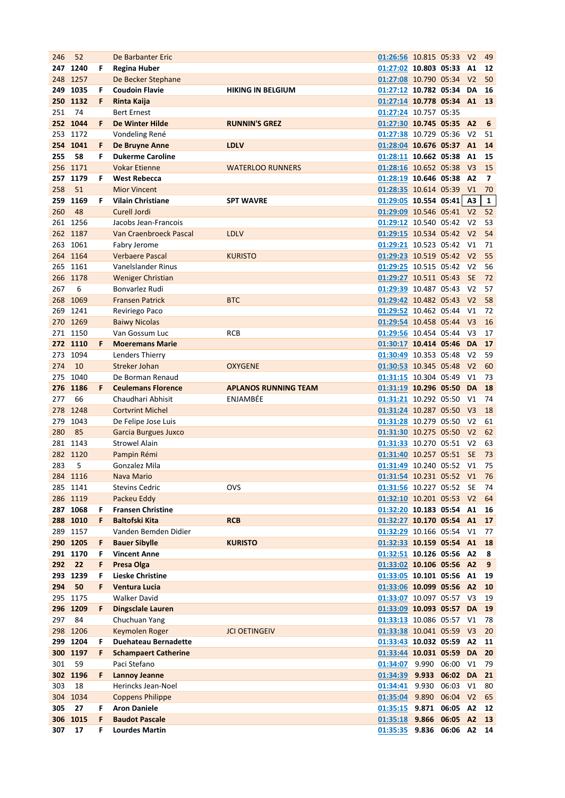| 246 | 52       |    | De Barbanter Eric           |                             | 01:26:56 10.815 05:33 V2   |                |          |                | 49             |
|-----|----------|----|-----------------------------|-----------------------------|----------------------------|----------------|----------|----------------|----------------|
| 247 | 1240     | F  | <b>Regina Huber</b>         |                             | 01:27:02 10.803 05:33      |                |          | A1             | 12             |
|     | 248 1257 |    | De Becker Stephane          |                             | 01:27:08 10.790 05:34      |                |          | V <sub>2</sub> | 50             |
| 249 | 1035     | F  | <b>Coudoin Flavie</b>       | <b>HIKING IN BELGIUM</b>    | 01:27:12 10.782 05:34      |                |          | DA             | 16             |
|     | 250 1132 | F  | Rinta Kaija                 |                             | 01:27:14 10.778 05:34 A1   |                |          |                | 13             |
| 251 | 74       |    | <b>Bert Ernest</b>          |                             | 01:27:24 10.757 05:35      |                |          |                |                |
|     | 252 1044 | F  | <b>De Winter Hilde</b>      | <b>RUNNIN'S GREZ</b>        | 01:27:30 10.745 05:35 A2   |                |          |                | 6              |
|     | 253 1172 |    | Vondeling René              |                             | 01:27:38 10.729 05:36      |                |          | V <sub>2</sub> | 51             |
|     | 254 1041 | F  | De Bruyne Anne              | <b>LDLV</b>                 | 01:28:04 10.676 05:37 A1   |                |          |                | 14             |
| 255 | 58       | F  | <b>Dukerme Caroline</b>     |                             | 01:28:11 10.662 05:38 A1   |                |          |                | 15             |
|     | 256 1171 |    | <b>Vokar Etienne</b>        | <b>WATERLOO RUNNERS</b>     | 01:28:16 10.652 05:38      |                |          | V <sub>3</sub> | 15             |
|     | 257 1179 | F  | <b>West Rebecca</b>         |                             | 01:28:19 10.646 05:38 A2   |                |          |                | $\overline{7}$ |
| 258 | 51       |    | <b>Mior Vincent</b>         |                             | 01:28:35 10.614 05:39 V1   |                |          |                | 70             |
| 259 | 1169     | F  | <b>Vilain Christiane</b>    | <b>SPT WAVRE</b>            | $01:29:05$ 10.554 05:41 A3 |                |          |                | $\mathbf{1}$   |
| 260 | 48       |    | Curell Jordi                |                             | 01:29:09 10.546 05:41 V2   |                |          |                | 52             |
|     | 261 1256 |    | Jacobs Jean-Francois        |                             | 01:29:12 10.540 05:42 V2   |                |          |                | 53             |
|     | 262 1187 |    | Van Craenbroeck Pascal      | <b>LDLV</b>                 | 01:29:15 10.534 05:42 V2   |                |          |                | 54             |
| 263 | 1061     |    | Fabry Jerome                |                             | 01:29:21 10.523 05:42 V1   |                |          |                | 71             |
|     | 264 1164 |    | <b>Verbaere Pascal</b>      | <b>KURISTO</b>              | 01:29:23 10.519 05:42 V2   |                |          |                | 55             |
| 265 | 1161     |    | Vanelslander Rinus          |                             | 01:29:25 10.515 05:42      |                |          | V <sub>2</sub> | 56             |
|     | 266 1178 |    | <b>Weniger Christian</b>    |                             | 01:29:27 10.511 05:43      |                |          | <b>SE</b>      | 72             |
| 267 | 6        |    | Bonvarlez Rudi              |                             | 01:29:39 10.487 05:43      |                |          | V <sub>2</sub> | 57             |
|     | 268 1069 |    | <b>Fransen Patrick</b>      | <b>BTC</b>                  | 01:29:42 10.482 05:43 V2   |                |          |                | 58             |
|     | 269 1241 |    | Reviriego Paco              |                             | 01:29:52 10.462 05:44      |                |          | V1             | 72             |
|     | 270 1269 |    | <b>Baiwy Nicolas</b>        |                             | 01:29:54 10.458 05:44      |                |          | V <sub>3</sub> | 16             |
|     | 271 1150 |    | Van Gossum Luc              | RCB                         | 01:29:56 10.454 05:44      |                |          | V3             | 17             |
|     | 272 1110 | F  | <b>Moeremans Marie</b>      |                             | 01:30:17 10.414 05:46      |                |          | <b>DA</b>      | 17             |
|     | 273 1094 |    |                             |                             | 01:30:49 10.353 05:48      |                |          | V <sub>2</sub> | 59             |
|     | 10       |    | Lenders Thierry             |                             |                            |                |          |                |                |
| 274 |          |    | <b>Streker Johan</b>        | <b>OXYGENE</b>              | 01:30:53 10.345 05:48      |                |          | V <sub>2</sub> | 60             |
|     | 275 1040 |    | De Borman Renaud            |                             | 01:31:15 10.304 05:49      |                |          | V1             | 73             |
|     | 276 1186 | F  | <b>Ceulemans Florence</b>   | <b>APLANOS RUNNING TEAM</b> | 01:31:19 10.296 05:50      |                |          | <b>DA</b>      | 18             |
| 277 | 66       |    | Chaudhari Abhisit           | ENJAMBÉE                    | 01:31:21 10.292 05:50      |                |          | V <sub>1</sub> | 74             |
|     | 278 1248 |    | <b>Cortvrint Michel</b>     |                             | 01:31:24 10.287 05:50      |                |          | V <sub>3</sub> | 18             |
| 279 | 1043     |    | De Felipe Jose Luis         |                             | 01:31:28 10.279 05:50      |                |          | V <sub>2</sub> | 61             |
| 280 | 85       |    | <b>Garcia Burgues Juxco</b> |                             | 01:31:30 10.275 05:50      |                |          | V <sub>2</sub> | 62             |
| 281 | 1143     |    | <b>Strowel Alain</b>        |                             | 01:31:33 10.270 05:51      |                |          | V <sub>2</sub> | 63             |
|     | 282 1120 |    | Pampin Rémi                 |                             | 01:31:40 10.257 05:51      |                |          | <b>SE</b>      | 73             |
| 283 | 5        |    | Gonzalez Mila               |                             | 01:31:49 10.240 05:52      |                |          | V1             | 75             |
|     | 284 1116 |    | Nava Mario                  |                             | 01:31:54 10.231 05:52 V1   |                |          |                | 76             |
|     | 285 1141 |    | <b>Stevins Cedric</b>       | <b>OVS</b>                  | 01:31:56 10.227 05:52 SE   |                |          |                | 74             |
|     | 286 1119 |    | Packeu Eddy                 |                             | 01:32:10 10.201 05:53 V2   |                |          |                | 64             |
|     | 287 1068 | F  | <b>Fransen Christine</b>    |                             | 01:32:20 10.183 05:54 A1   |                |          |                | 16             |
|     | 288 1010 | F  | <b>Baltofski Kita</b>       | <b>RCB</b>                  | 01:32:27 10.170 05:54 A1   |                |          |                | 17             |
|     | 289 1157 |    | Vanden Bemden Didier        |                             | 01:32:29 10.166 05:54 V1   |                |          |                | 77             |
|     | 290 1205 | F  | <b>Bauer Sibylle</b>        | <b>KURISTO</b>              | 01:32:33 10.159 05:54 A1   |                |          |                | 18             |
|     | 291 1170 | F  | <b>Vincent Anne</b>         |                             | 01:32:51 10.126 05:56 A2   |                |          |                | 8              |
| 292 | 22       | F  | Presa Olga                  |                             | 01:33:02 10.106 05:56 A2   |                |          |                | 9              |
|     | 293 1239 | F  | <b>Lieske Christine</b>     |                             | 01:33:05 10.101 05:56 A1   |                |          |                | 19             |
| 294 | 50       | F  | <b>Ventura Lucia</b>        |                             | 01:33:06 10.099 05:56 A2   |                |          |                | 10             |
|     | 295 1175 |    | <b>Walker David</b>         |                             | 01:33:07 10.097 05:57 V3   |                |          |                | 19             |
|     | 296 1209 | F  | <b>Dingsclale Lauren</b>    |                             | 01:33:09 10.093 05:57      |                |          | <b>DA</b>      | 19             |
| 297 | 84       |    | Chuchuan Yang               |                             | 01:33:13 10.086 05:57      |                |          | V1             | 78             |
| 298 | 1206     |    | Keymolen Roger              | <b>JCI OETINGEIV</b>        | 01:33:38 10.041 05:59      |                |          | V3             | 20             |
|     | 299 1204 | F  | <b>Duehateau Bernadette</b> |                             | 01:33:43 10.032 05:59      |                |          | A2             | 11             |
|     | 300 1197 | F. | <b>Schampaert Catherine</b> |                             | 01:33:44 10.031 05:59      |                |          | <b>DA</b>      | 20             |
| 301 | 59       |    | Paci Stefano                |                             | 01:34:07 9.990 06:00       |                |          | V1             | 79             |
|     | 302 1196 | F  | <b>Lannoy Jeanne</b>        |                             | $01:34:39$ 9.933 06:02     |                |          | DA 21          |                |
| 303 | 18       |    | Herincks Jean-Noel          |                             | 01:34:41 9.930             |                | 06:03    | V1             | 80             |
| 304 | 1034     |    | <b>Coppens Philippe</b>     |                             | 01:35:04 9.890             |                | 06:04    | V <sub>2</sub> | 65             |
| 305 | 27       | F  | <b>Aron Daniele</b>         |                             | $01:35:15$ 9.871           |                | 06:05 A2 |                | 12             |
| 306 | 1015     | F  | <b>Baudot Pascale</b>       |                             | $01:35:18$ 9.866           |                | 06:05 A2 |                | 13             |
| 307 | 17       | F  | <b>Lourdes Martin</b>       |                             | 01:35:35                   | 9.836 06:06 A2 |          |                | 14             |
|     |          |    |                             |                             |                            |                |          |                |                |